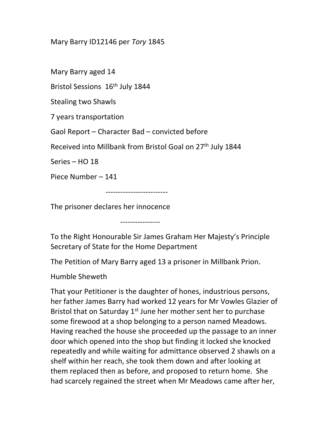## Mary Barry ID12146 per Tory 1845

Mary Barry aged 14

Bristol Sessions 16<sup>th</sup> July 1844

Stealing two Shawls

7 years transportation

Gaol Report – Character Bad – convicted before

Received into Millbank from Bristol Goal on 27<sup>th</sup> July 1844

Series – HO 18

Piece Number – 141

-------------------------

The prisoner declares her innocence

----------------

To the Right Honourable Sir James Graham Her Majesty's Principle Secretary of State for the Home Department

The Petition of Mary Barry aged 13 a prisoner in Millbank Prion.

Humble Sheweth

That your Petitioner is the daughter of hones, industrious persons, her father James Barry had worked 12 years for Mr Vowles Glazier of Bristol that on Saturday 1<sup>st</sup> June her mother sent her to purchase some firewood at a shop belonging to a person named Meadows. Having reached the house she proceeded up the passage to an inner door which opened into the shop but finding it locked she knocked repeatedly and while waiting for admittance observed 2 shawls on a shelf within her reach, she took them down and after looking at them replaced then as before, and proposed to return home. She had scarcely regained the street when Mr Meadows came after her,